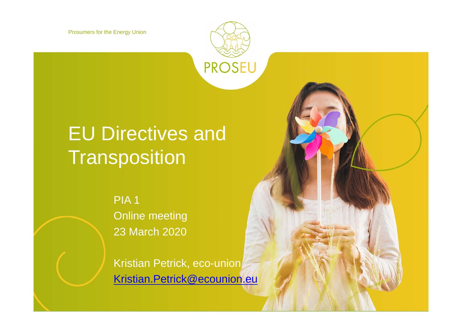Prosumers for the Energy Union

# EU Directives and **Transposition**

PIA 1 Online meeting 23 March 2020

Kristian Petrick, eco-union Kristian.Petrick@ecounion.eu

**PROSEU**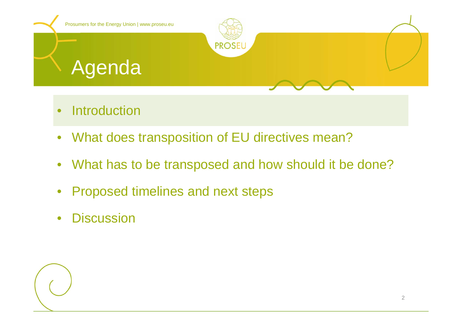

- •Introduction
- $\bullet$ What does transposition of EU directives mean?
- What has to be transposed and how should it be done?
- $\bullet$ Proposed timelines and next steps
- $\bullet$ **Discussion**

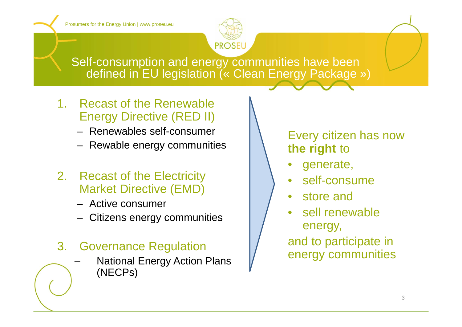

Self-consumption and energy communities have been defined in EU legislation (« Clean Energy Package »)

- 1. Recast of the Renewable Energy Directive (RED II)
	- Renewables self-consumer
	- Rewable energy communities
- 2. Recast of the Electricity Market Directive (EMD)
	- Active consumer
	- Citizens energy communities
- 3. Governance Regulation
	- National Energy Action Plans (NECPs)

### Every citizen has now **the right** to

- •generate,
- •self-consume
- store and
- sell renewable energy, and to participate in

energy communities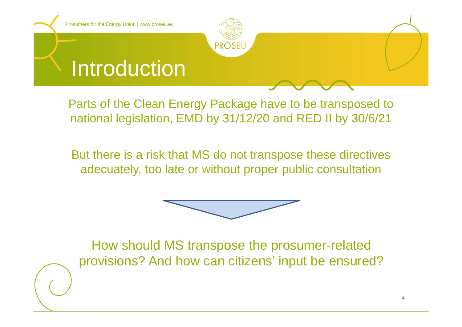

Parts of the Clean Energy Package have to be transposed to national legislation, EMD by 31/12/20 and RED II by 30/6/21

But there is a risk that MS do not transpose these directives adecuately, too late or without proper public consultation



How should MS transpose the prosumer-related provisions? And how can citizens' input be ensured?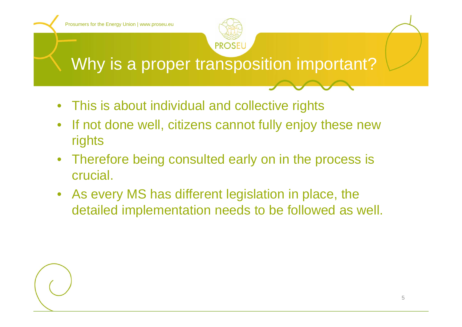

- $\bullet$ This is about individual and collective rights
- $\bullet$  If not done well, citizens cannot fully enjoy these new rights
- • Therefore being consulted early on in the process is crucial.
- As every MS has different legislation in place, the detailed implementation needs to be followed as well.

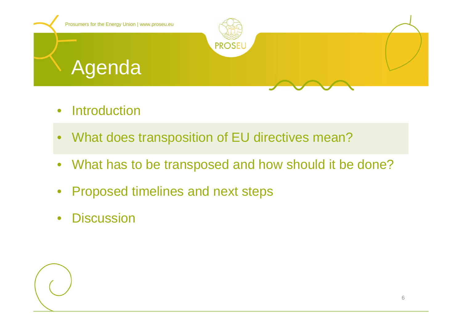

- •**Introduction**
- $\bullet$ What does transposition of EU directives mean?
- $\bullet$ What has to be transposed and how should it be done?
- $\bullet$ Proposed timelines and next steps
- $\bullet$ **Discussion**

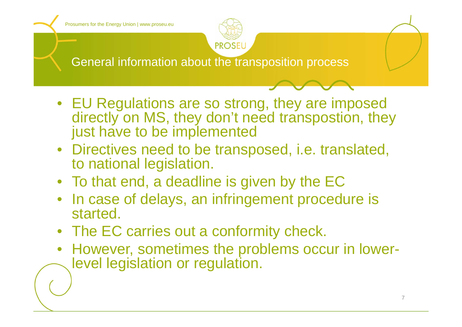

General information about the transposition process

- EU Regulations are so strong, they are imposed directly on MS, they don't need transpostion, they just have to be implemented
- Directives need to be transposed, i.e. translated, to national legislation.
- To that end, a deadline is given by the EC
- In case of delays, an infringement procedure is started.
- The EC carries out a conformity check.
- However, sometimes the problems occur in lowerlevel legislation or regulation.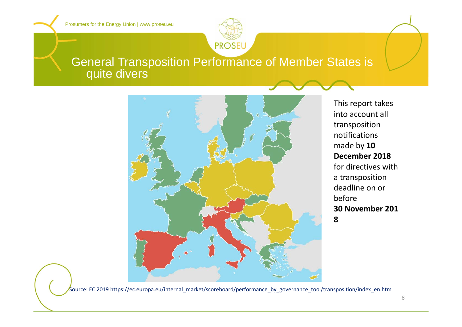

### General Transposition Performance of Member States is quite divers



This report takes into account all transposition notificationsmade by **10 December 2018**for directives witha transposition deadline on or before **30 November 2018**

Source: EC 2019 https://ec.europa.eu/internal\_market/scoreboard/performance\_by\_governance\_tool/transposition/index\_en.htm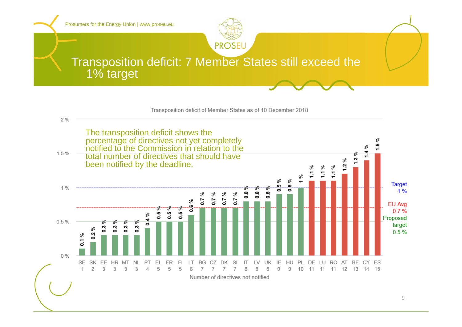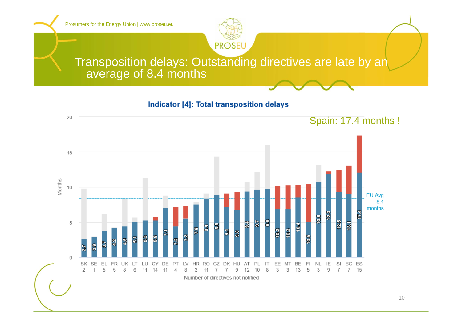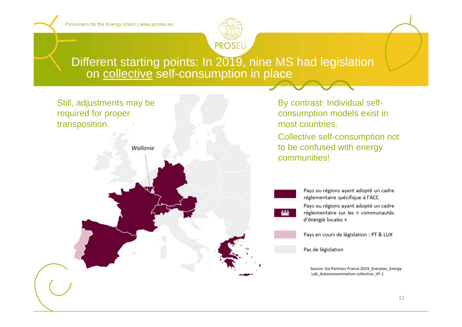

### Different starting points: In 2019, nine MS had legislation on collective self-consumption in place



By contrast: Individual selfconsumption models exist in most countries.Collective self-consumption not to be confused with energy communities!

> Pays ou régions ayant adopté un cadre réglementaire spécifique à l'ACC Pays ou régions ayant adopté un cadre réglementaire sur les « communautés d'énergie locales »

Pays en cours de législation : PT & LUX

Pas de législation

Source: Sia-Partners France 2019 Enerplan Energy-Lab\_Autoconsommation-collective\_VF-1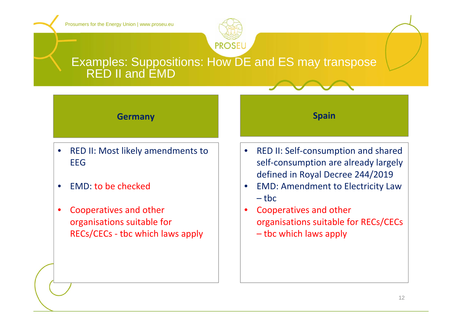

### Examples: Suppositions: How DE and ES may transpose RED II and EMD

#### **Germany**

- $\bullet$ • RED II: Most likely amendments to EEG
- •• EMD: to be checked
- • Cooperatives and other organisations suitable for RECs/CECs ‐ tbc which laws apply

#### •● RED II: Self-consumption and shared self-consumption are already largely defined in Royal Decree 244/2019

**Spain**

- • EMD: Amendment to Electricity Law – tbc
- • Cooperatives and other organisations suitable for RECs/CECs – tbc which laws apply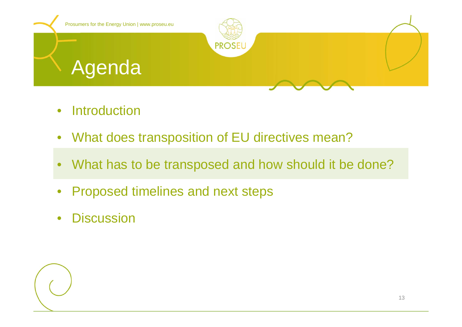

- •**Introduction**
- $\bullet$ What does transposition of EU directives mean?
- •What has to be transposed and how should it be done?
- $\bullet$ Proposed timelines and next steps
- $\bullet$ **Discussion**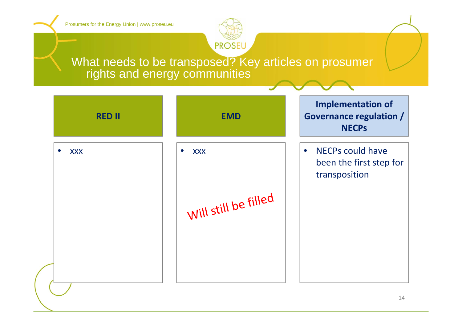

### What needs to be transposed? Key articles on prosumer rights and energy communities

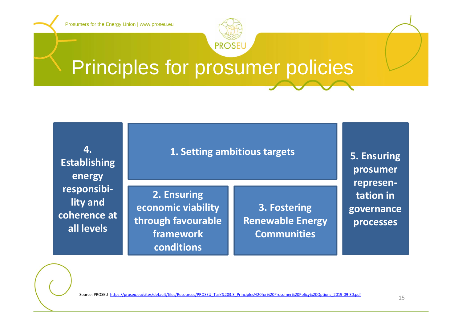

## Principles for prosumer policies



**1. Setting ambitious targets**

**2. Ensuring economic viability through favourable framework conditions**

**3. Fostering Renewable Energy Communities**

**5. Ensuring prosumer represen‐ tation ingovernance processes**

Source: PROSEU https://proseu.eu/sites/default/files/Resources/PROSEU\_Task%203.3\_Principles%20for%20Prosumer%20Policy%20Options\_2019‐09‐30.pdf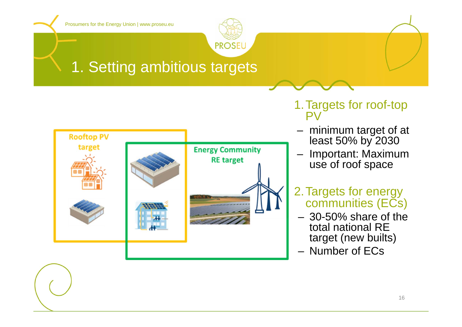

## 1. Setting ambitious targets



- 1.Targets for roof-top PV
- minimum target of at least 50% by 2030
- Important: Maximum use of roof space
- 2.Targets for energy communities (ECs)
- 30-50% share of the total national RE target (new builts)
- Number of ECs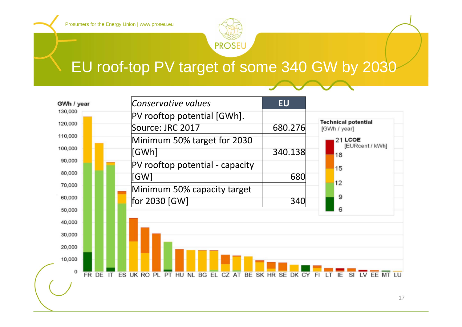

## EU roof-top PV target of some 340 GW by 2030

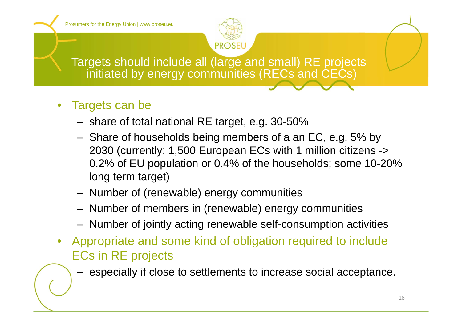

Targets should include all (large and small) RE projects initiated by energy communities (RECs and CECs)

- $\bullet$  Targets can be
	- share of total national RE target, e.g. 30-50%
	- Share of households being members of a an EC, e.g. 5% by 2030 (currently: 1,500 European ECs with 1 million citizens -> 0.2% of EU population or 0.4% of the households; some 10-20% long term target)
	- Number of (renewable) energy communities
	- Number of members in (renewable) energy communities
	- Number of jointly acting renewable self-consumption activities
- Appropriate and some kind of obligation required to include ECs in RE projects
	- especially if close to settlements to increase social acceptance.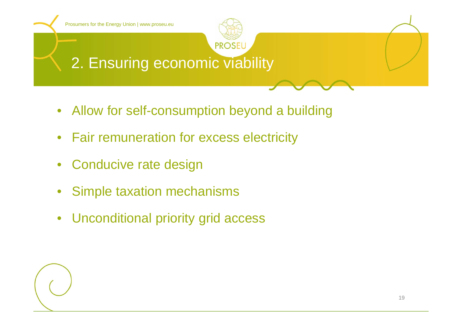

- Allow for self-consumption beyond a building
- Fair remuneration for excess electricity
- Conducive rate design
- $\bullet$ Simple taxation mechanisms
- $\bullet$ Unconditional priority grid access

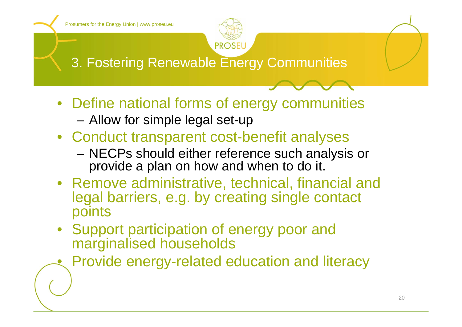•

![](_page_19_Picture_1.jpeg)

3. Fostering Renewable Energy Communities

- Define national forms of energy communities
	- Allow for simple legal set-up
- Conduct transparent cost-benefit analyses
	- – NECPs should either reference such analysis or provide a plan on how and when to do it.
- Remove administrative, technical, financial and legal barriers, e.g. by creating single contact points
- Support participation of energy poor and marginalised households
	- Provide energy-related education and literacy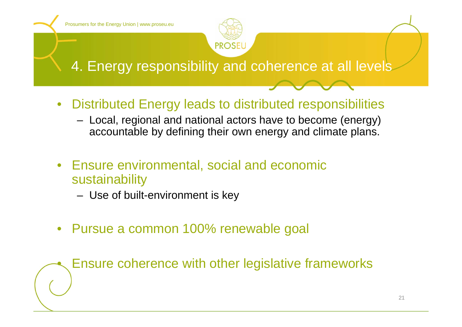•

![](_page_20_Picture_1.jpeg)

4. Energy responsibility and coherence at all levels

- $\bullet$  Distributed Energy leads to distributed responsibilities
	- Local, regional and national actors have to become (energy) accountable by defining their own energy and climate plans.
- $\bullet$  Ensure environmental, social and economic sustainability
	- Use of built-environment is key
- Pursue a common 100% renewable goal

Ensure coherence with other legislative frameworks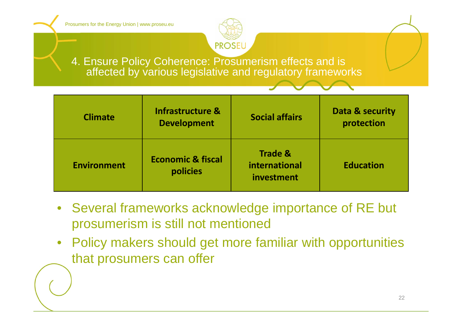![](_page_21_Picture_1.jpeg)

4. Ensure Policy Coherence: Prosumerism effects and is affected by various legislative and regulatory frameworks

| <b>Climate</b>     | <b>Infrastructure &amp;</b><br><b>Development</b> | <b>Social affairs</b>                             | Data & security<br>protection |
|--------------------|---------------------------------------------------|---------------------------------------------------|-------------------------------|
| <b>Environment</b> | <b>Economic &amp; fiscal</b><br>policies          | <b>Trade &amp;</b><br>international<br>investment | <b>Education</b>              |

- Several frameworks acknowledge importance of RE but prosumerism is still not mentioned
- $\bullet$  Policy makers should get more familiar with opportunities that prosumers can offer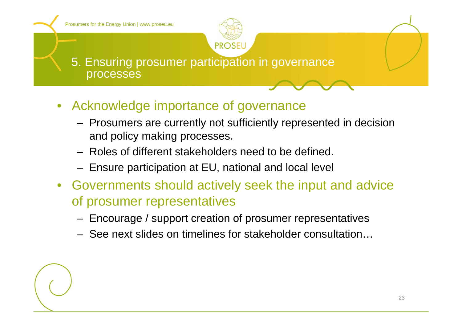![](_page_22_Picture_1.jpeg)

5. Ensuring prosumer participation in governance processes

- Acknowledge importance of governance
	- Prosumers are currently not sufficiently represented in decision and policy making processes.
	- Roles of different stakeholders need to be defined.
	- Ensure participation at EU, national and local level
- Governments should actively seek the input and advice of prosumer representatives
	- Encourage / support creation of prosumer representatives
	- See next slides on timelines for stakeholder consultation…

![](_page_22_Picture_10.jpeg)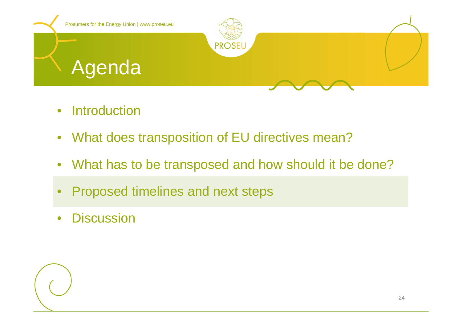![](_page_23_Picture_0.jpeg)

- •**Introduction**
- $\bullet$ What does transposition of EU directives mean?
- $\bullet$ What has to be transposed and how should it be done?
- •Proposed timelines and next steps
- $\bullet$ **Discussion**

![](_page_23_Picture_6.jpeg)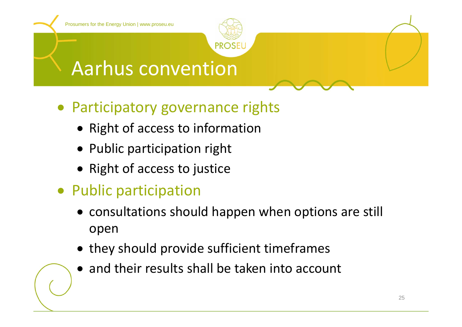![](_page_24_Picture_1.jpeg)

## Aarhus convention

- Participatory governance rights
	- Right of access to information
	- Public participation right
	- Right of access to justice
- Public participation
	- consultations should happen when options are still open
	- they should provide sufficient timeframes
	- and their results shall be taken into account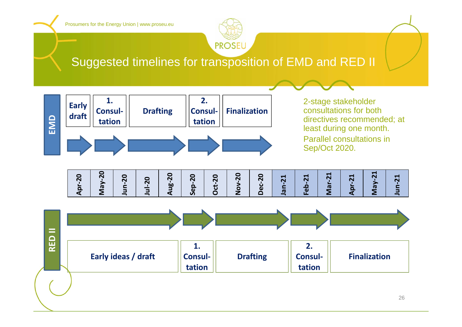![](_page_25_Picture_1.jpeg)

### Suggested timelines for transposition of EMD and RED II

![](_page_25_Figure_3.jpeg)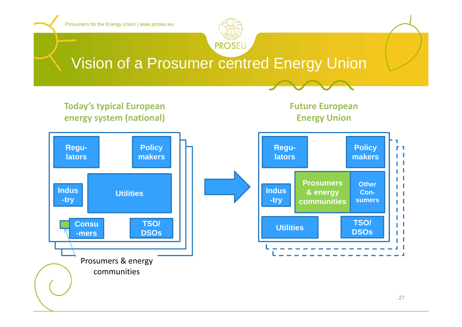![](_page_26_Figure_0.jpeg)

![](_page_26_Picture_1.jpeg)

## Vision of a Prosumer centred Energy Union

### **Today's typical European energy system (national)**

### **Future European Energy Union**

![](_page_26_Figure_5.jpeg)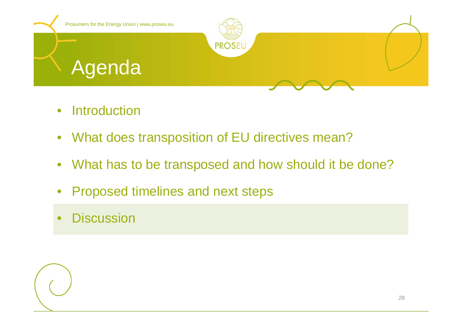![](_page_27_Picture_0.jpeg)

- $\bullet$ **Introduction**
- What does transposition of EU directives mean?
- What has to be transposed and how should it be done?
- $\bullet$ Proposed timelines and next steps
- •**Discussion**

![](_page_27_Picture_6.jpeg)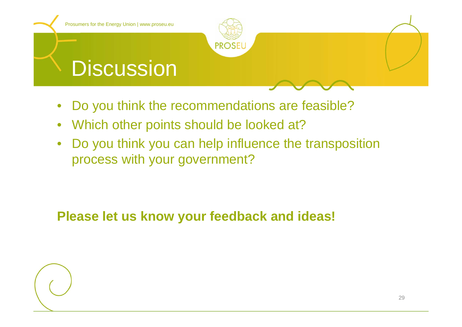![](_page_28_Picture_0.jpeg)

- $\bullet$ Do you think the recommendations are feasible?
- $\bullet$ Which other points should be looked at?
- $\bullet$  Do you think you can help influence the transposition process with your government?

**Please let us know your feedback and ideas!**

![](_page_28_Picture_5.jpeg)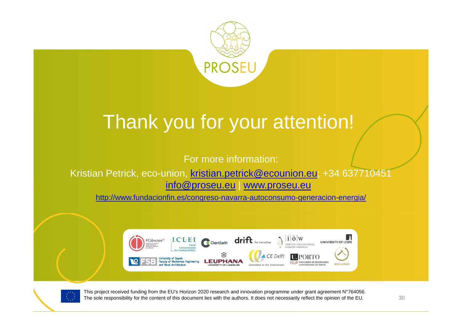![](_page_29_Picture_0.jpeg)

# Thank you for your attention!

For more information:

Kristian Petrick, eco-union, kristian.petrick@ecounion.eu; +34 637710451 info@proseu.eu | www.proseu.eu

http://www.fundacionfin.es/congreso-navarra-autoconsumo-generacion-energia/

![](_page_29_Picture_5.jpeg)

![](_page_29_Picture_6.jpeg)

This project received funding from the EU's Horizon 2020 research and innovation programme under grant agreement N°764056. The sole responsibility for the content of this document lies with the authors. It does not necessarily reflect the opinion of the EU. 30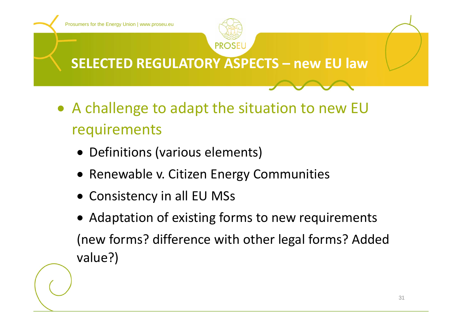![](_page_30_Picture_0.jpeg)

- A challenge to adapt the situation to new EU requirements
	- Definitions (various elements)
	- **Renewable v. Citizen Energy Communities**
	- Consistency in all EU MSs
	- Adaptation of existing forms to new requirements (new forms? difference with other legal forms? Added value?)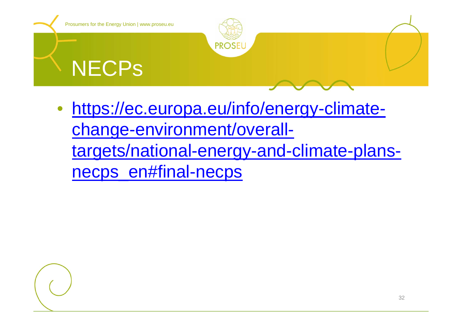![](_page_31_Picture_0.jpeg)

• https://ec.europa.eu/info/energy-climatechange-environment/overalltargets/national-energy-and-climate-plansnecps\_en#final-necps

![](_page_31_Picture_2.jpeg)